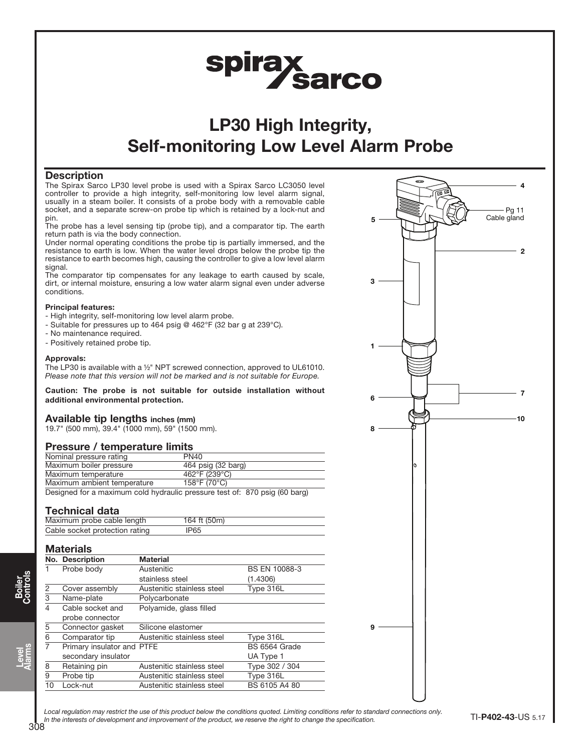

# LP30 High Integrity, Self-monitoring Low Level Alarm Probe

## **Description**

The Spirax Sarco LP30 level probe is used with a Spirax Sarco LC3050 level controller to provide a high integrity, self-monitoring low level alarm signal, usually in a steam boiler. It consists of a probe body with a removable cable socket, and a separate screw-on probe tip which is retained by a lock-nut and pin.

The probe has a level sensing tip (probe tip), and a comparator tip. The earth return path is via the body connection.

Under normal operating conditions the probe tip is partially immersed, and the resistance to earth is low. When the water level drops below the probe tip the resistance to earth becomes high, causing the controller to give a low level alarm signal.

The comparator tip compensates for any leakage to earth caused by scale, dirt, or internal moisture, ensuring a low water alarm signal even under adverse conditions.

### Principal features:

- High integrity, self-monitoring low level alarm probe.
- Suitable for pressures up to 464 psig @ 462°F (32 bar g at 239°C).
- No maintenance required.
- Positively retained probe tip.

#### Approvals:

The LP30 is available with a ½" NPT screwed connection, approved to UL61010. Please note that this version will not be marked and is not suitable for Europe.

Caution: The probe is not suitable for outside installation without additional environmental protection.

## Available tip lengths inches (mm)

19.7" (500 mm), 39.4" (1000 mm), 59" (1500 mm).

## Pressure / temperature limits

| Nominal pressure rating     | PN <sub>40</sub>   |
|-----------------------------|--------------------|
| Maximum boiler pressure     | 464 psig (32 barg) |
| Maximum temperature         | 462°F (239°C)      |
| Maximum ambient temperature | 158°F (70°C)       |

Designed for a maximum cold hydraulic pressure test of: 870 psig (60 barg)

## Technical data

| .                              |              |  |
|--------------------------------|--------------|--|
| Maximum probe cable length     | 164 ft (50m) |  |
| Cable socket protection rating | 'P65         |  |

### **Materials**

|    | No. Description            | <b>Material</b>            |                |
|----|----------------------------|----------------------------|----------------|
|    | Probe body                 | Austenitic                 | BS EN 10088-3  |
|    |                            | stainless steel            | (1.4306)       |
| 2  | Cover assembly             | Austenitic stainless steel | Type 316L      |
| 3  | Name-plate                 | Polycarbonate              |                |
| 4  | Cable socket and           | Polyamide, glass filled    |                |
|    | probe connector            |                            |                |
| 5  | Connector gasket           | Silicone elastomer         |                |
| 6  | Comparator tip             | Austenitic stainless steel | Type 316L      |
| 7  | Primary insulator and PTFE |                            | BS 6564 Grade  |
|    | secondary insulator        |                            | UA Type 1      |
| 8  | Retaining pin              | Austenitic stainless steel | Type 302 / 304 |
| 9  | Probe tip                  | Austenitic stainless steel | Type 316L      |
| 10 | Lock-nut                   | Austenitic stainless steel | BS 6105 A4 80  |
|    |                            |                            |                |



Local regulation may restrict the use of this product below the conditions quoted. Limiting conditions refer to standard connections only. In the interests of development and improvement of the product, we reserve the right to change the specification.